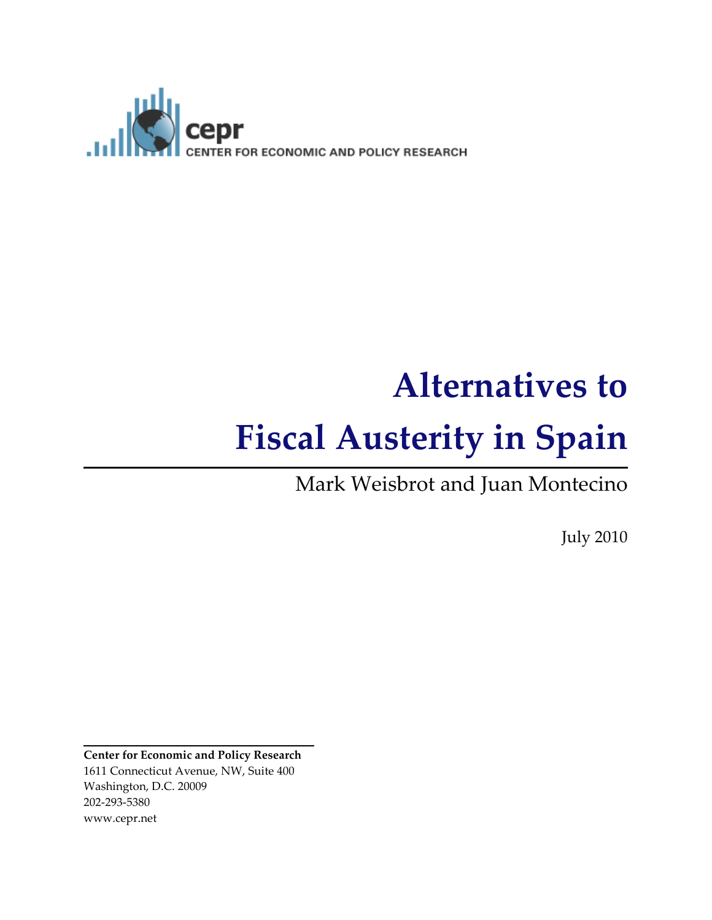

# Alternatives to Fiscal Austerity in Spain

Mark Weisbrot and Juan Montecino

July 2010

Center for Economic and Policy Research 1611 Connecticut Avenue, NW, Suite 400 Washington, D.C. 20009 202-293-5380 www.cepr.net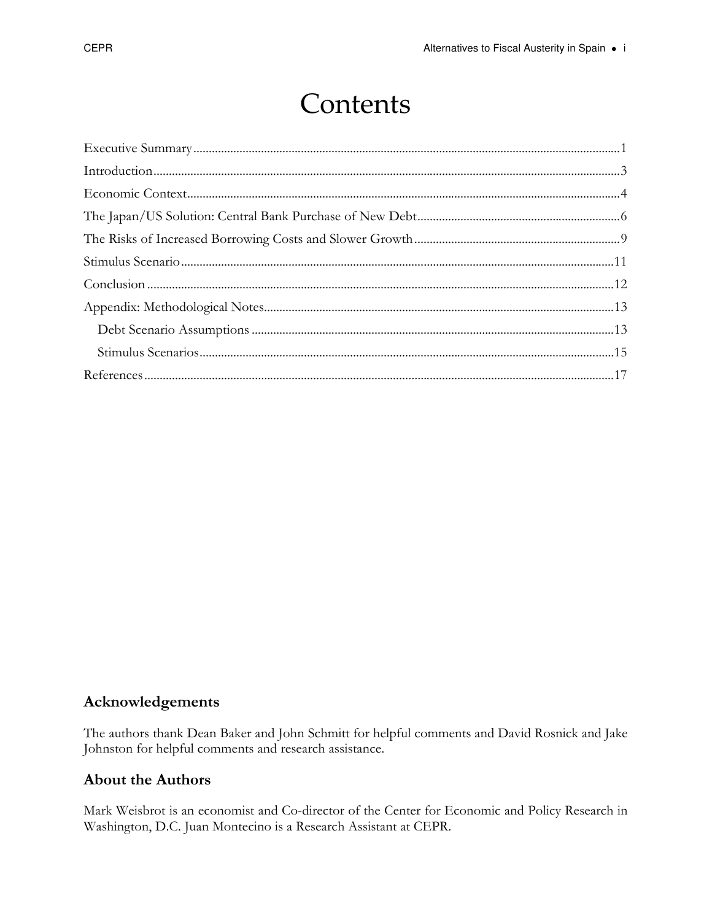# Contents

#### Acknowledgements

The authors thank Dean Baker and John Schmitt for helpful comments and David Rosnick and Jake Johnston for helpful comments and research assistance.

#### **About the Authors**

Mark Weisbrot is an economist and Co-director of the Center for Economic and Policy Research in Washington, D.C. Juan Montecino is a Research Assistant at CEPR.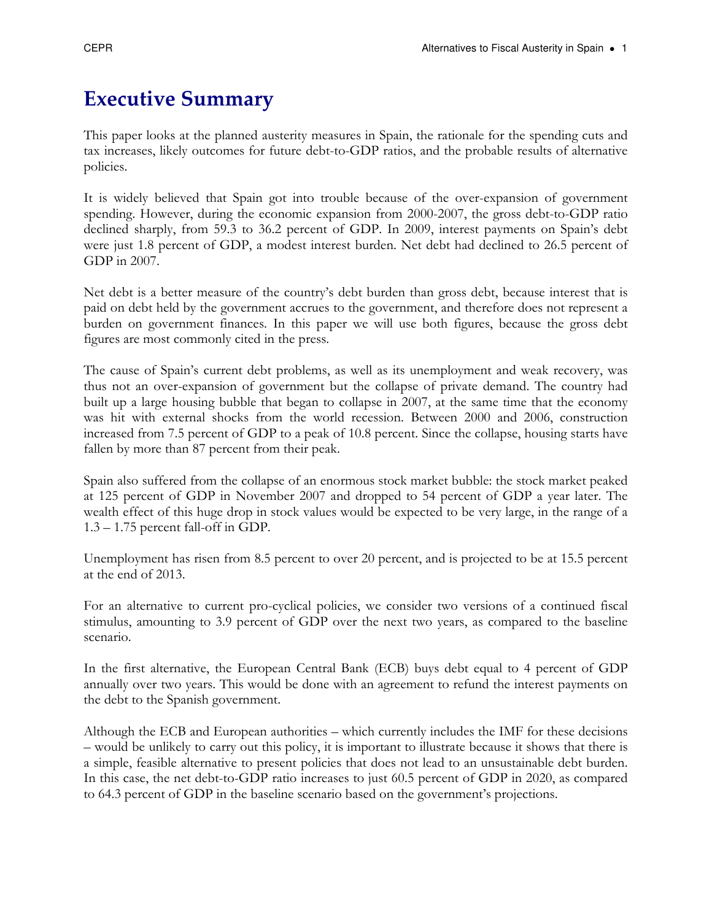# Executive Summary

This paper looks at the planned austerity measures in Spain, the rationale for the spending cuts and tax increases, likely outcomes for future debt-to-GDP ratios, and the probable results of alternative policies.

It is widely believed that Spain got into trouble because of the over-expansion of government spending. However, during the economic expansion from 2000-2007, the gross debt-to-GDP ratio declined sharply, from 59.3 to 36.2 percent of GDP. In 2009, interest payments on Spain's debt were just 1.8 percent of GDP, a modest interest burden. Net debt had declined to 26.5 percent of GDP in 2007.

Net debt is a better measure of the country's debt burden than gross debt, because interest that is paid on debt held by the government accrues to the government, and therefore does not represent a burden on government finances. In this paper we will use both figures, because the gross debt figures are most commonly cited in the press.

The cause of Spain's current debt problems, as well as its unemployment and weak recovery, was thus not an over-expansion of government but the collapse of private demand. The country had built up a large housing bubble that began to collapse in 2007, at the same time that the economy was hit with external shocks from the world recession. Between 2000 and 2006, construction increased from 7.5 percent of GDP to a peak of 10.8 percent. Since the collapse, housing starts have fallen by more than 87 percent from their peak.

Spain also suffered from the collapse of an enormous stock market bubble: the stock market peaked at 125 percent of GDP in November 2007 and dropped to 54 percent of GDP a year later. The wealth effect of this huge drop in stock values would be expected to be very large, in the range of a 1.3 – 1.75 percent fall-off in GDP.

Unemployment has risen from 8.5 percent to over 20 percent, and is projected to be at 15.5 percent at the end of 2013.

For an alternative to current pro-cyclical policies, we consider two versions of a continued fiscal stimulus, amounting to 3.9 percent of GDP over the next two years, as compared to the baseline scenario.

In the first alternative, the European Central Bank (ECB) buys debt equal to 4 percent of GDP annually over two years. This would be done with an agreement to refund the interest payments on the debt to the Spanish government.

Although the ECB and European authorities – which currently includes the IMF for these decisions – would be unlikely to carry out this policy, it is important to illustrate because it shows that there is a simple, feasible alternative to present policies that does not lead to an unsustainable debt burden. In this case, the net debt-to-GDP ratio increases to just 60.5 percent of GDP in 2020, as compared to 64.3 percent of GDP in the baseline scenario based on the government's projections.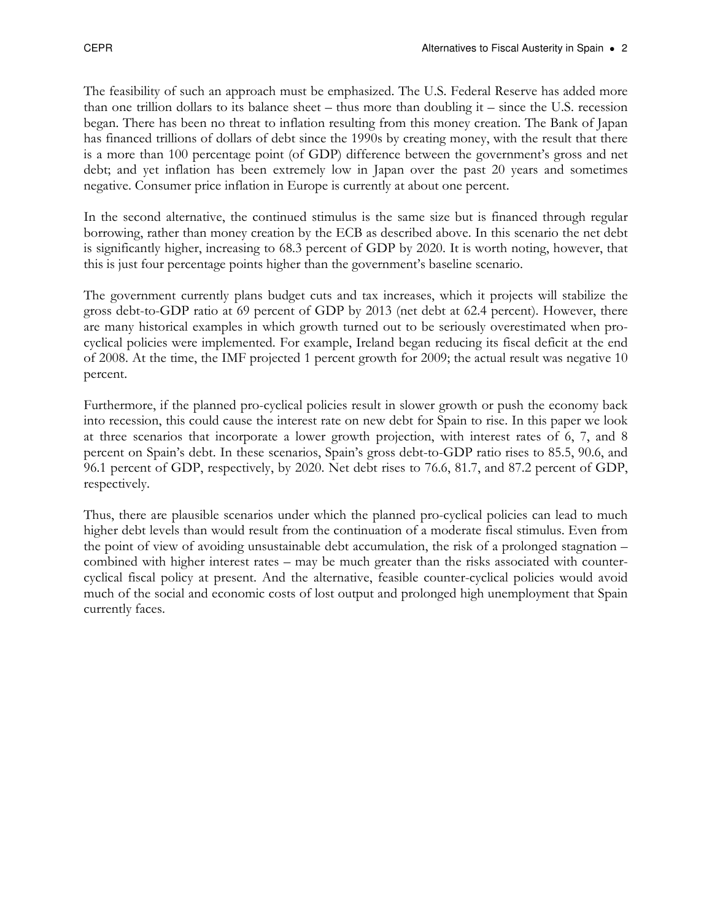The feasibility of such an approach must be emphasized. The U.S. Federal Reserve has added more than one trillion dollars to its balance sheet – thus more than doubling it – since the U.S. recession began. There has been no threat to inflation resulting from this money creation. The Bank of Japan has financed trillions of dollars of debt since the 1990s by creating money, with the result that there is a more than 100 percentage point (of GDP) difference between the government's gross and net debt; and yet inflation has been extremely low in Japan over the past 20 years and sometimes negative. Consumer price inflation in Europe is currently at about one percent.

In the second alternative, the continued stimulus is the same size but is financed through regular borrowing, rather than money creation by the ECB as described above. In this scenario the net debt is significantly higher, increasing to 68.3 percent of GDP by 2020. It is worth noting, however, that this is just four percentage points higher than the government's baseline scenario.

The government currently plans budget cuts and tax increases, which it projects will stabilize the gross debt-to-GDP ratio at 69 percent of GDP by 2013 (net debt at 62.4 percent). However, there are many historical examples in which growth turned out to be seriously overestimated when procyclical policies were implemented. For example, Ireland began reducing its fiscal deficit at the end of 2008. At the time, the IMF projected 1 percent growth for 2009; the actual result was negative 10 percent.

Furthermore, if the planned pro-cyclical policies result in slower growth or push the economy back into recession, this could cause the interest rate on new debt for Spain to rise. In this paper we look at three scenarios that incorporate a lower growth projection, with interest rates of 6, 7, and 8 percent on Spain's debt. In these scenarios, Spain's gross debt-to-GDP ratio rises to 85.5, 90.6, and 96.1 percent of GDP, respectively, by 2020. Net debt rises to 76.6, 81.7, and 87.2 percent of GDP, respectively.

Thus, there are plausible scenarios under which the planned pro-cyclical policies can lead to much higher debt levels than would result from the continuation of a moderate fiscal stimulus. Even from the point of view of avoiding unsustainable debt accumulation, the risk of a prolonged stagnation – combined with higher interest rates – may be much greater than the risks associated with countercyclical fiscal policy at present. And the alternative, feasible counter-cyclical policies would avoid much of the social and economic costs of lost output and prolonged high unemployment that Spain currently faces.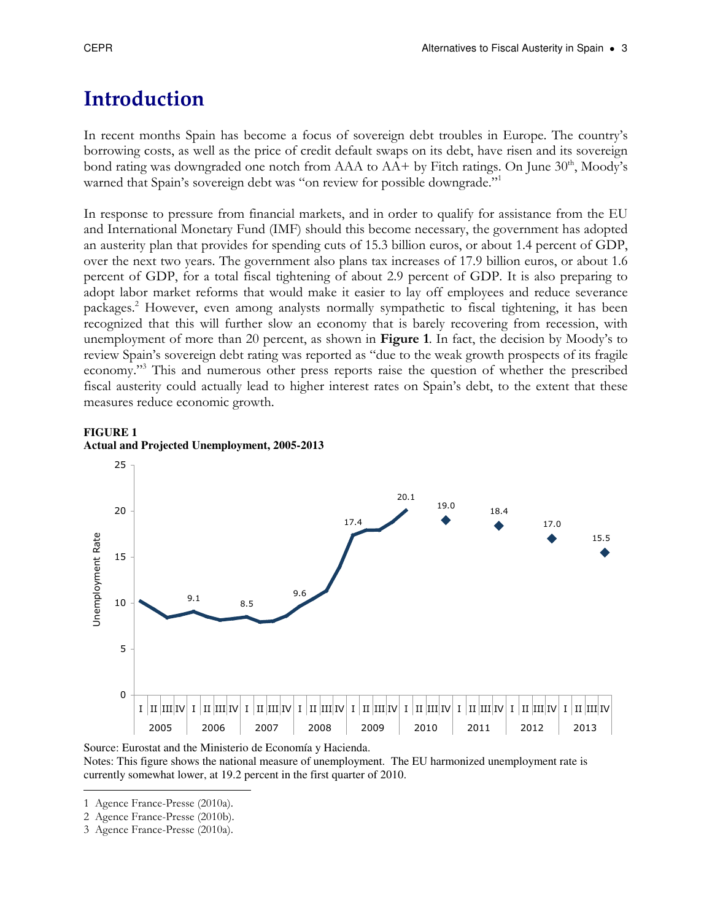# Introduction

In recent months Spain has become a focus of sovereign debt troubles in Europe. The country's borrowing costs, as well as the price of credit default swaps on its debt, have risen and its sovereign bond rating was downgraded one notch from  $AAA$  to  $AA+$  by Fitch ratings. On June  $30<sup>th</sup>$ , Moody's warned that Spain's sovereign debt was "on review for possible downgrade."<sup>1</sup>

In response to pressure from financial markets, and in order to qualify for assistance from the EU and International Monetary Fund (IMF) should this become necessary, the government has adopted an austerity plan that provides for spending cuts of 15.3 billion euros, or about 1.4 percent of GDP, over the next two years. The government also plans tax increases of 17.9 billion euros, or about 1.6 percent of GDP, for a total fiscal tightening of about 2.9 percent of GDP. It is also preparing to adopt labor market reforms that would make it easier to lay off employees and reduce severance packages.<sup>2</sup> However, even among analysts normally sympathetic to fiscal tightening, it has been recognized that this will further slow an economy that is barely recovering from recession, with unemployment of more than 20 percent, as shown in **Figure 1**. In fact, the decision by Moody's to review Spain's sovereign debt rating was reported as "due to the weak growth prospects of its fragile economy."<sup>3</sup> This and numerous other press reports raise the question of whether the prescribed fiscal austerity could actually lead to higher interest rates on Spain's debt, to the extent that these measures reduce economic growth.

#### **FIGURE 1 Actual and Projected Unemployment, 2005-2013**



Source: Eurostat and the Ministerio de Economía y Hacienda. Notes: This figure shows the national measure of unemployment. The EU harmonized unemployment rate is currently somewhat lower, at 19.2 percent in the first quarter of 2010.

l 1 Agence France-Presse (2010a).

<sup>2</sup> Agence France-Presse (2010b).

<sup>3</sup> Agence France-Presse (2010a).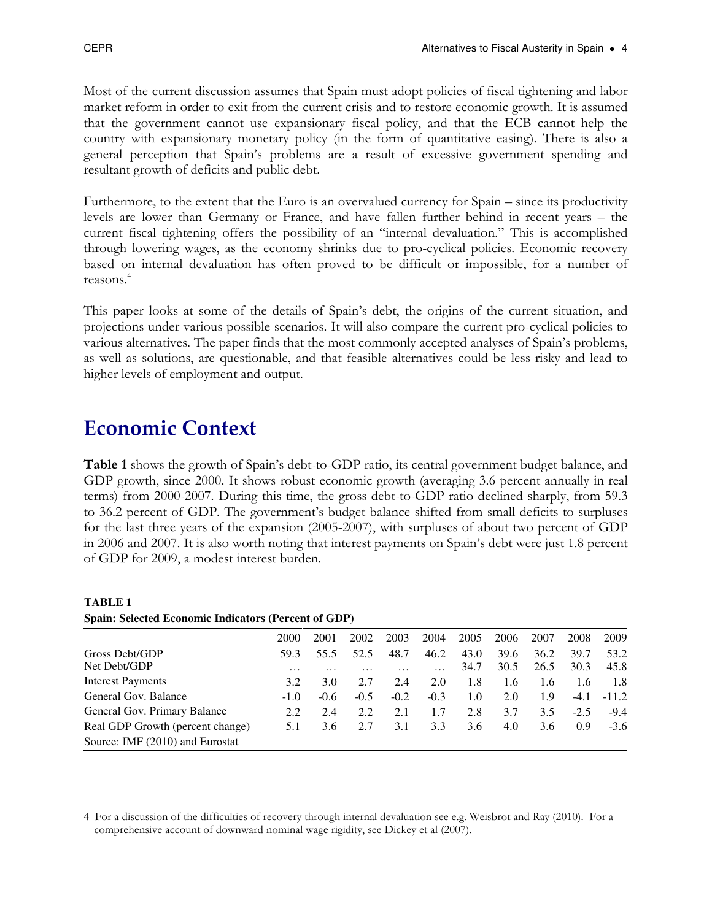Most of the current discussion assumes that Spain must adopt policies of fiscal tightening and labor market reform in order to exit from the current crisis and to restore economic growth. It is assumed that the government cannot use expansionary fiscal policy, and that the ECB cannot help the country with expansionary monetary policy (in the form of quantitative easing). There is also a general perception that Spain's problems are a result of excessive government spending and resultant growth of deficits and public debt.

Furthermore, to the extent that the Euro is an overvalued currency for Spain – since its productivity levels are lower than Germany or France, and have fallen further behind in recent years – the current fiscal tightening offers the possibility of an "internal devaluation." This is accomplished through lowering wages, as the economy shrinks due to pro-cyclical policies. Economic recovery based on internal devaluation has often proved to be difficult or impossible, for a number of reasons.<sup>4</sup>

This paper looks at some of the details of Spain's debt, the origins of the current situation, and projections under various possible scenarios. It will also compare the current pro-cyclical policies to various alternatives. The paper finds that the most commonly accepted analyses of Spain's problems, as well as solutions, are questionable, and that feasible alternatives could be less risky and lead to higher levels of employment and output.

## Economic Context

l

Table 1 shows the growth of Spain's debt-to-GDP ratio, its central government budget balance, and GDP growth, since 2000. It shows robust economic growth (averaging 3.6 percent annually in real terms) from 2000-2007. During this time, the gross debt-to-GDP ratio declined sharply, from 59.3 to 36.2 percent of GDP. The government's budget balance shifted from small deficits to surpluses for the last three years of the expansion (2005-2007), with surpluses of about two percent of GDP in 2006 and 2007. It is also worth noting that interest payments on Spain's debt were just 1.8 percent of GDP for 2009, a modest interest burden.

| $\beta$ pain, beteen a conomic murators (1 creent or GDT) |                 |                 |                 |        |                          |              |              |              |              |              |  |  |  |
|-----------------------------------------------------------|-----------------|-----------------|-----------------|--------|--------------------------|--------------|--------------|--------------|--------------|--------------|--|--|--|
|                                                           | 2000            | 2001            | 2002            | 2003   | 2004                     | 2005         | 2006         | 2007         | 2008         | 2009         |  |  |  |
| Gross Debt/GDP<br>Net Debt/GDP                            | 59.3            | 55.5            | 52.5            | 48.7   | 46.2                     | 43.0<br>34.7 | 39.6<br>30.5 | 36.2<br>26.5 | 39.7<br>30.3 | 53.2<br>45.8 |  |  |  |
| <b>Interest Payments</b>                                  | $\cdots$<br>3.2 | $\cdots$<br>3.0 | $\cdots$<br>2.7 | 2.4    | $\cdot\cdot\cdot$<br>2.0 | 1.8          | 1.6          | 1.6          | 1.6          | 1.8          |  |  |  |
| General Gov. Balance                                      | $-1.0$          | $-0.6$          | $-0.5$          | $-0.2$ | $-0.3$                   | 1.0          | 2.0          | 1.9          | $-4.1$       | $-11.2$      |  |  |  |
| General Gov. Primary Balance                              | 2.2             | 2.4             | 2.2             | 2.1    | 1.7                      | 2.8          | 3.7          | 3.5          | $-2.5$       | $-9.4$       |  |  |  |
| Real GDP Growth (percent change)                          | 5.1             | 3.6             | 2.7             | 3.1    | 3.3                      | 3.6          | 4.0          | 3.6          | 0.9          | $-3.6$       |  |  |  |
| Source: IMF (2010) and Eurostat                           |                 |                 |                 |        |                          |              |              |              |              |              |  |  |  |

#### **TABLE 1 Spain: Selected Economic Indicators (Percent of GDP)**

<sup>4</sup> For a discussion of the difficulties of recovery through internal devaluation see e.g. Weisbrot and Ray (2010). For a comprehensive account of downward nominal wage rigidity, see Dickey et al (2007).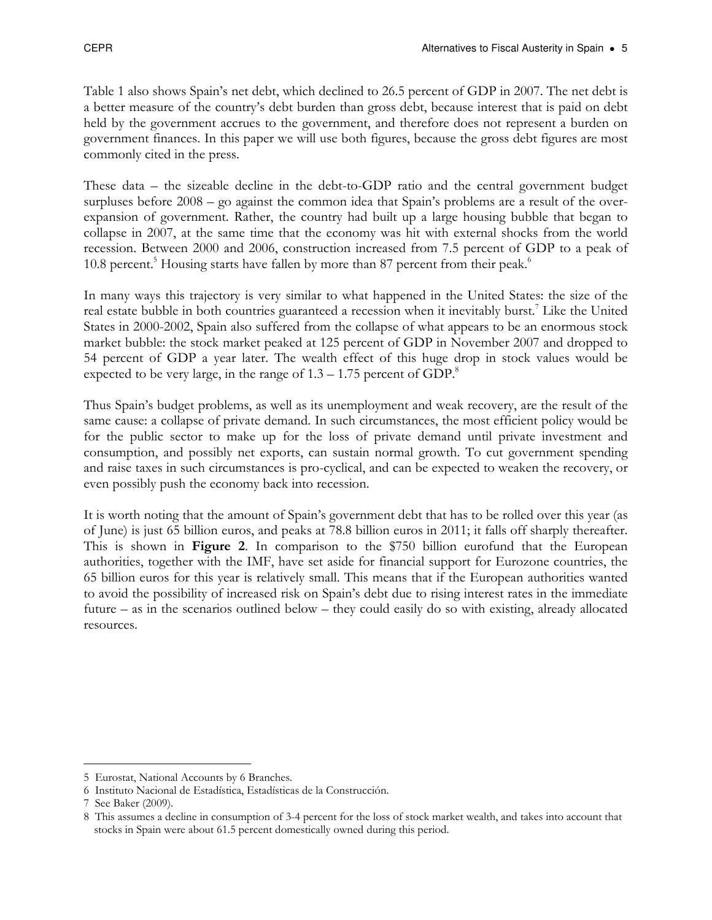Table 1 also shows Spain's net debt, which declined to 26.5 percent of GDP in 2007. The net debt is a better measure of the country's debt burden than gross debt, because interest that is paid on debt held by the government accrues to the government, and therefore does not represent a burden on government finances. In this paper we will use both figures, because the gross debt figures are most commonly cited in the press.

These data – the sizeable decline in the debt-to-GDP ratio and the central government budget surpluses before 2008 – go against the common idea that Spain's problems are a result of the overexpansion of government. Rather, the country had built up a large housing bubble that began to collapse in 2007, at the same time that the economy was hit with external shocks from the world recession. Between 2000 and 2006, construction increased from 7.5 percent of GDP to a peak of 10.8 percent.<sup>5</sup> Housing starts have fallen by more than 87 percent from their peak.<sup>6</sup>

In many ways this trajectory is very similar to what happened in the United States: the size of the real estate bubble in both countries guaranteed a recession when it inevitably burst.<sup>7</sup> Like the United States in 2000-2002, Spain also suffered from the collapse of what appears to be an enormous stock market bubble: the stock market peaked at 125 percent of GDP in November 2007 and dropped to 54 percent of GDP a year later. The wealth effect of this huge drop in stock values would be expected to be very large, in the range of  $1.3 - 1.75$  percent of GDP.<sup>8</sup>

Thus Spain's budget problems, as well as its unemployment and weak recovery, are the result of the same cause: a collapse of private demand. In such circumstances, the most efficient policy would be for the public sector to make up for the loss of private demand until private investment and consumption, and possibly net exports, can sustain normal growth. To cut government spending and raise taxes in such circumstances is pro-cyclical, and can be expected to weaken the recovery, or even possibly push the economy back into recession.

It is worth noting that the amount of Spain's government debt that has to be rolled over this year (as of June) is just 65 billion euros, and peaks at 78.8 billion euros in 2011; it falls off sharply thereafter. This is shown in **Figure 2.** In comparison to the \$750 billion eurofund that the European authorities, together with the IMF, have set aside for financial support for Eurozone countries, the 65 billion euros for this year is relatively small. This means that if the European authorities wanted to avoid the possibility of increased risk on Spain's debt due to rising interest rates in the immediate future – as in the scenarios outlined below – they could easily do so with existing, already allocated resources.

 $\overline{a}$ 5 Eurostat, National Accounts by 6 Branches.

<sup>6</sup> Instituto Nacional de Estadística, Estadísticas de la Construcción.

<sup>7</sup> See Baker (2009).

<sup>8</sup> This assumes a decline in consumption of 3-4 percent for the loss of stock market wealth, and takes into account that stocks in Spain were about 61.5 percent domestically owned during this period.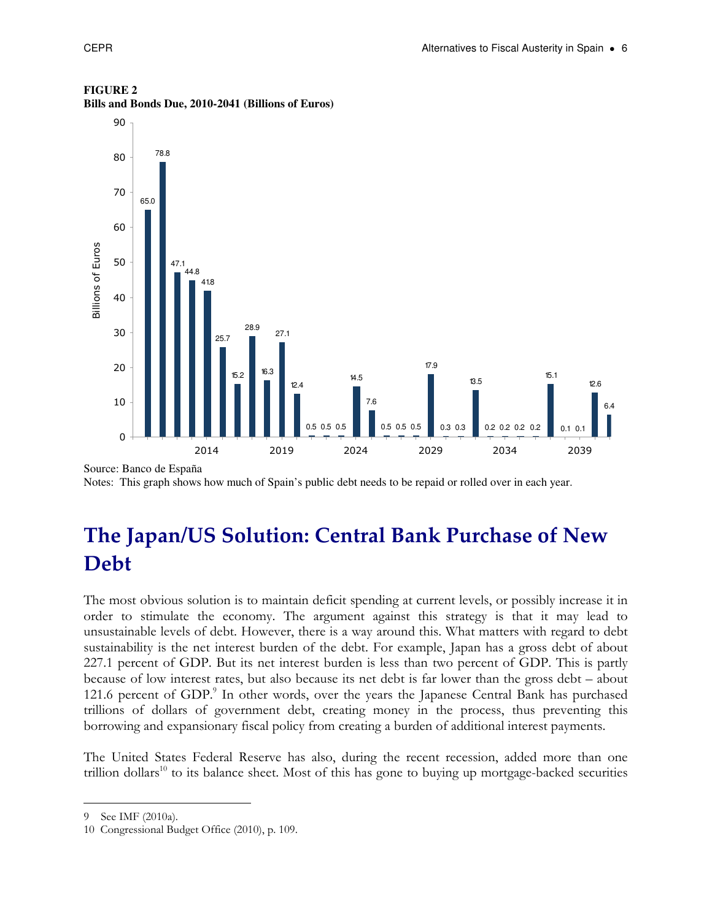

#### **FIGURE 2**

**Bills and Bonds Due, 2010-2041 (Billions of Euros)** 

Source: Banco de España Notes: This graph shows how much of Spain's public debt needs to be repaid or rolled over in each year.

# The Japan/US Solution: Central Bank Purchase of New Debt

The most obvious solution is to maintain deficit spending at current levels, or possibly increase it in order to stimulate the economy. The argument against this strategy is that it may lead to unsustainable levels of debt. However, there is a way around this. What matters with regard to debt sustainability is the net interest burden of the debt. For example, Japan has a gross debt of about 227.1 percent of GDP. But its net interest burden is less than two percent of GDP. This is partly because of low interest rates, but also because its net debt is far lower than the gross debt – about 121.6 percent of GDP.<sup>9</sup> In other words, over the years the Japanese Central Bank has purchased trillions of dollars of government debt, creating money in the process, thus preventing this borrowing and expansionary fiscal policy from creating a burden of additional interest payments.

The United States Federal Reserve has also, during the recent recession, added more than one trillion dollars<sup>10</sup> to its balance sheet. Most of this has gone to buying up mortgage-backed securities

 $\overline{a}$ 9 See IMF (2010a).

<sup>10</sup> Congressional Budget Office (2010), p. 109.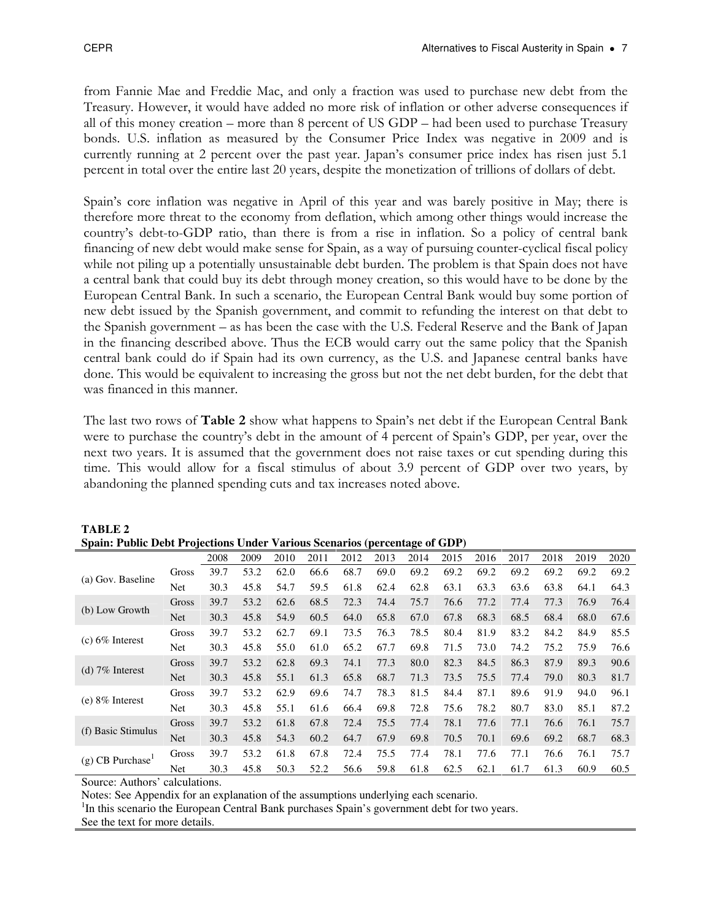from Fannie Mae and Freddie Mac, and only a fraction was used to purchase new debt from the Treasury. However, it would have added no more risk of inflation or other adverse consequences if all of this money creation – more than 8 percent of US GDP – had been used to purchase Treasury bonds. U.S. inflation as measured by the Consumer Price Index was negative in 2009 and is currently running at 2 percent over the past year. Japan's consumer price index has risen just 5.1 percent in total over the entire last 20 years, despite the monetization of trillions of dollars of debt.

Spain's core inflation was negative in April of this year and was barely positive in May; there is therefore more threat to the economy from deflation, which among other things would increase the country's debt-to-GDP ratio, than there is from a rise in inflation. So a policy of central bank financing of new debt would make sense for Spain, as a way of pursuing counter-cyclical fiscal policy while not piling up a potentially unsustainable debt burden. The problem is that Spain does not have a central bank that could buy its debt through money creation, so this would have to be done by the European Central Bank. In such a scenario, the European Central Bank would buy some portion of new debt issued by the Spanish government, and commit to refunding the interest on that debt to the Spanish government – as has been the case with the U.S. Federal Reserve and the Bank of Japan in the financing described above. Thus the ECB would carry out the same policy that the Spanish central bank could do if Spain had its own currency, as the U.S. and Japanese central banks have done. This would be equivalent to increasing the gross but not the net debt burden, for the debt that was financed in this manner.

The last two rows of Table 2 show what happens to Spain's net debt if the European Central Bank were to purchase the country's debt in the amount of 4 percent of Spain's GDP, per year, over the next two years. It is assumed that the government does not raise taxes or cut spending during this time. This would allow for a fiscal stimulus of about 3.9 percent of GDP over two years, by abandoning the planned spending cuts and tax increases noted above.

|                                |            | 2008 | 2009 | 2010 | 2011 | 2012 | 2013 | 2014 | 2015 | 2016 | 2017 | 2018 | 2019 | 2020 |
|--------------------------------|------------|------|------|------|------|------|------|------|------|------|------|------|------|------|
|                                |            |      |      |      |      |      |      |      |      |      |      |      |      |      |
| (a) Gov. Baseline              | Gross      | 39.7 | 53.2 | 62.0 | 66.6 | 68.7 | 69.0 | 69.2 | 69.2 | 69.2 | 69.2 | 69.2 | 69.2 | 69.2 |
|                                | Net        | 30.3 | 45.8 | 54.7 | 59.5 | 61.8 | 62.4 | 62.8 | 63.1 | 63.3 | 63.6 | 63.8 | 64.1 | 64.3 |
| (b) Low Growth                 | Gross      | 39.7 | 53.2 | 62.6 | 68.5 | 72.3 | 74.4 | 75.7 | 76.6 | 77.2 | 77.4 | 77.3 | 76.9 | 76.4 |
|                                | <b>Net</b> | 30.3 | 45.8 | 54.9 | 60.5 | 64.0 | 65.8 | 67.0 | 67.8 | 68.3 | 68.5 | 68.4 | 68.0 | 67.6 |
| $(c)$ 6% Interest              | Gross      | 39.7 | 53.2 | 62.7 | 69.1 | 73.5 | 76.3 | 78.5 | 80.4 | 81.9 | 83.2 | 84.2 | 84.9 | 85.5 |
|                                | Net        | 30.3 | 45.8 | 55.0 | 61.0 | 65.2 | 67.7 | 69.8 | 71.5 | 73.0 | 74.2 | 75.2 | 75.9 | 76.6 |
|                                | Gross      | 39.7 | 53.2 | 62.8 | 69.3 | 74.1 | 77.3 | 80.0 | 82.3 | 84.5 | 86.3 | 87.9 | 89.3 | 90.6 |
| (d) $7\%$ Interest             | <b>Net</b> | 30.3 | 45.8 | 55.1 | 61.3 | 65.8 | 68.7 | 71.3 | 73.5 | 75.5 | 77.4 | 79.0 | 80.3 | 81.7 |
|                                | Gross      | 39.7 | 53.2 | 62.9 | 69.6 | 74.7 | 78.3 | 81.5 | 84.4 | 87.1 | 89.6 | 91.9 | 94.0 | 96.1 |
| $(e) 8\%$ Interest             | Net        | 30.3 | 45.8 | 55.1 | 61.6 | 66.4 | 69.8 | 72.8 | 75.6 | 78.2 | 80.7 | 83.0 | 85.1 | 87.2 |
| (f) Basic Stimulus             | Gross      | 39.7 | 53.2 | 61.8 | 67.8 | 72.4 | 75.5 | 77.4 | 78.1 | 77.6 | 77.1 | 76.6 | 76.1 | 75.7 |
|                                | <b>Net</b> | 30.3 | 45.8 | 54.3 | 60.2 | 64.7 | 67.9 | 69.8 | 70.5 | 70.1 | 69.6 | 69.2 | 68.7 | 68.3 |
| $(g)$ CB Purchase <sup>1</sup> | Gross      | 39.7 | 53.2 | 61.8 | 67.8 | 72.4 | 75.5 | 77.4 | 78.1 | 77.6 | 77.1 | 76.6 | 76.1 | 75.7 |
|                                | Net        | 30.3 | 45.8 | 50.3 | 52.2 | 56.6 | 59.8 | 61.8 | 62.5 | 62.1 | 61.7 | 61.3 | 60.9 | 60.5 |

**TABLE 2 Spain: Public Debt Projections Under Various Scenarios (percentage of GDP)**

Source: Authors' calculations.

Notes: See Appendix for an explanation of the assumptions underlying each scenario.

<sup>1</sup>In this scenario the European Central Bank purchases Spain's government debt for two years.

See the text for more details.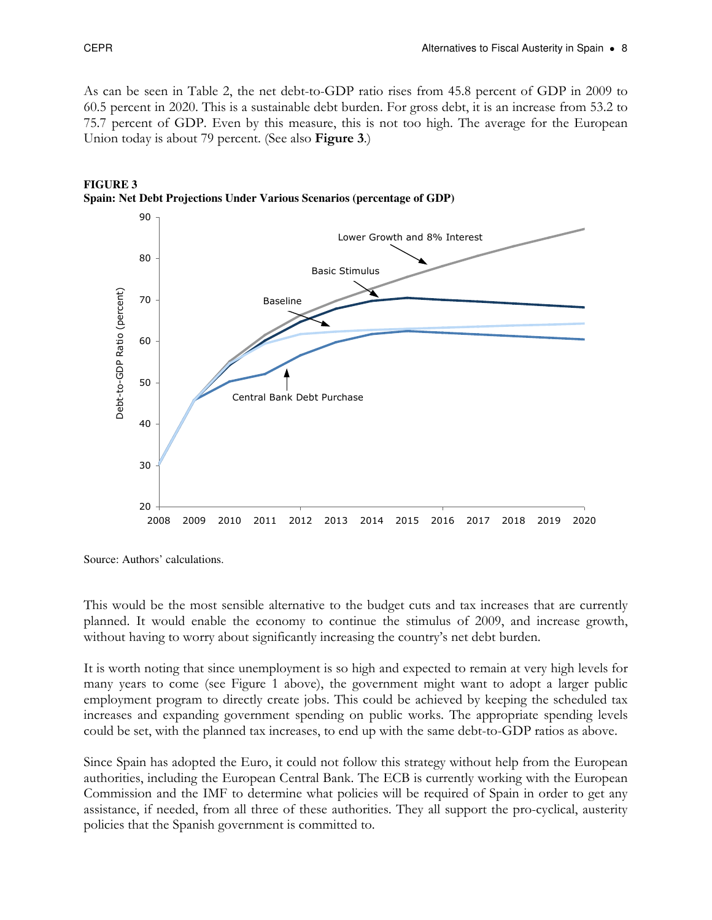As can be seen in Table 2, the net debt-to-GDP ratio rises from 45.8 percent of GDP in 2009 to 60.5 percent in 2020. This is a sustainable debt burden. For gross debt, it is an increase from 53.2 to 75.7 percent of GDP. Even by this measure, this is not too high. The average for the European Union today is about 79 percent. (See also **Figure 3**.)



#### **FIGURE 3 Spain: Net Debt Projections Under Various Scenarios (percentage of GDP)**

Source: Authors' calculations.

This would be the most sensible alternative to the budget cuts and tax increases that are currently planned. It would enable the economy to continue the stimulus of 2009, and increase growth, without having to worry about significantly increasing the country's net debt burden.

It is worth noting that since unemployment is so high and expected to remain at very high levels for many years to come (see Figure 1 above), the government might want to adopt a larger public employment program to directly create jobs. This could be achieved by keeping the scheduled tax increases and expanding government spending on public works. The appropriate spending levels could be set, with the planned tax increases, to end up with the same debt-to-GDP ratios as above.

Since Spain has adopted the Euro, it could not follow this strategy without help from the European authorities, including the European Central Bank. The ECB is currently working with the European Commission and the IMF to determine what policies will be required of Spain in order to get any assistance, if needed, from all three of these authorities. They all support the pro-cyclical, austerity policies that the Spanish government is committed to.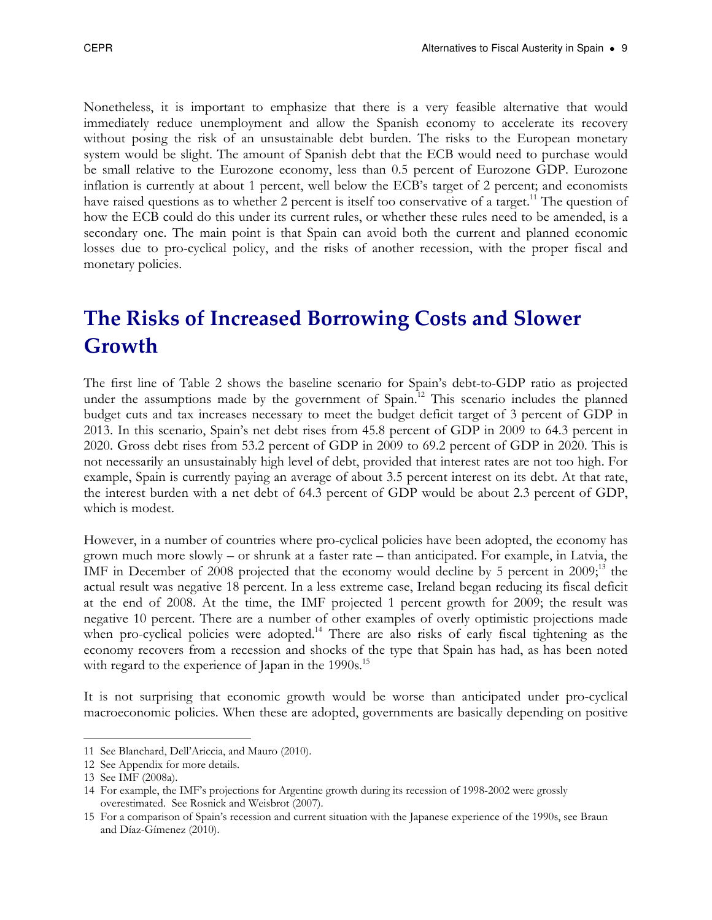Nonetheless, it is important to emphasize that there is a very feasible alternative that would immediately reduce unemployment and allow the Spanish economy to accelerate its recovery without posing the risk of an unsustainable debt burden. The risks to the European monetary system would be slight. The amount of Spanish debt that the ECB would need to purchase would be small relative to the Eurozone economy, less than 0.5 percent of Eurozone GDP. Eurozone inflation is currently at about 1 percent, well below the ECB's target of 2 percent; and economists have raised questions as to whether 2 percent is itself too conservative of a target.<sup>11</sup> The question of how the ECB could do this under its current rules, or whether these rules need to be amended, is a secondary one. The main point is that Spain can avoid both the current and planned economic losses due to pro-cyclical policy, and the risks of another recession, with the proper fiscal and monetary policies.

# The Risks of Increased Borrowing Costs and Slower Growth

The first line of Table 2 shows the baseline scenario for Spain's debt-to-GDP ratio as projected under the assumptions made by the government of Spain.<sup>12</sup> This scenario includes the planned budget cuts and tax increases necessary to meet the budget deficit target of 3 percent of GDP in 2013. In this scenario, Spain's net debt rises from 45.8 percent of GDP in 2009 to 64.3 percent in 2020. Gross debt rises from 53.2 percent of GDP in 2009 to 69.2 percent of GDP in 2020. This is not necessarily an unsustainably high level of debt, provided that interest rates are not too high. For example, Spain is currently paying an average of about 3.5 percent interest on its debt. At that rate, the interest burden with a net debt of 64.3 percent of GDP would be about 2.3 percent of GDP, which is modest.

However, in a number of countries where pro-cyclical policies have been adopted, the economy has grown much more slowly – or shrunk at a faster rate – than anticipated. For example, in Latvia, the IMF in December of 2008 projected that the economy would decline by 5 percent in  $2009<sup>13</sup>$ , the actual result was negative 18 percent. In a less extreme case, Ireland began reducing its fiscal deficit at the end of 2008. At the time, the IMF projected 1 percent growth for 2009; the result was negative 10 percent. There are a number of other examples of overly optimistic projections made when pro-cyclical policies were adopted.<sup>14</sup> There are also risks of early fiscal tightening as the economy recovers from a recession and shocks of the type that Spain has had, as has been noted with regard to the experience of Japan in the 1990s.<sup>15</sup>

It is not surprising that economic growth would be worse than anticipated under pro-cyclical macroeconomic policies. When these are adopted, governments are basically depending on positive

 $\overline{a}$ 11 See Blanchard, Dell'Ariccia, and Mauro (2010).

<sup>12</sup> See Appendix for more details.

<sup>13</sup> See IMF (2008a).

<sup>14</sup> For example, the IMF's projections for Argentine growth during its recession of 1998-2002 were grossly overestimated. See Rosnick and Weisbrot (2007).

<sup>15</sup> For a comparison of Spain's recession and current situation with the Japanese experience of the 1990s, see Braun and Díaz-Gímenez (2010).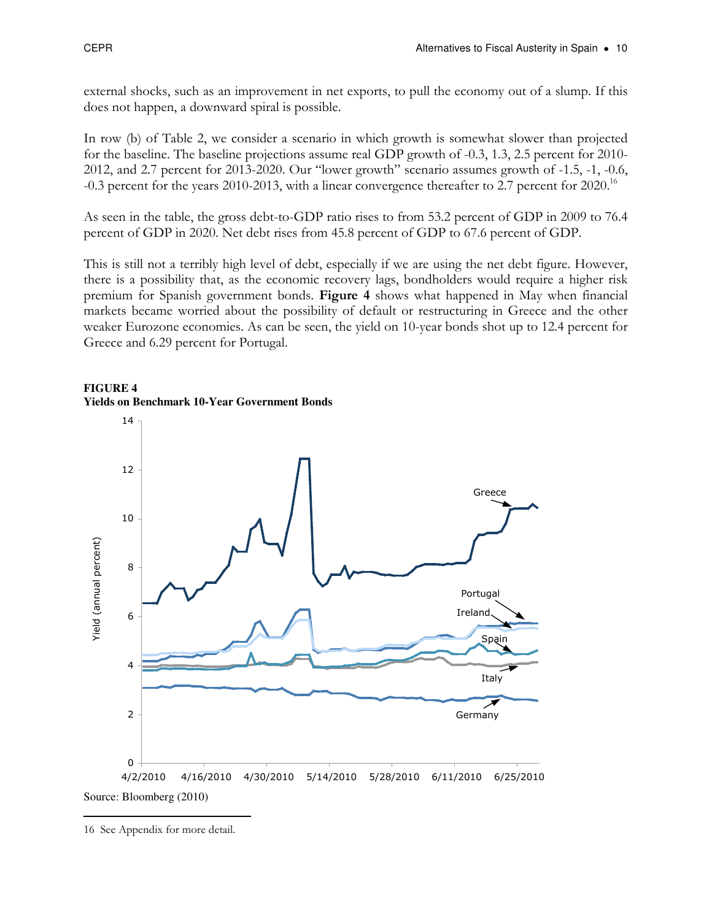external shocks, such as an improvement in net exports, to pull the economy out of a slump. If this does not happen, a downward spiral is possible.

In row (b) of Table 2, we consider a scenario in which growth is somewhat slower than projected for the baseline. The baseline projections assume real GDP growth of -0.3, 1.3, 2.5 percent for 2010- 2012, and 2.7 percent for 2013-2020. Our "lower growth" scenario assumes growth of -1.5, -1, -0.6, -0.3 percent for the years 2010-2013, with a linear convergence thereafter to 2.7 percent for 2020.<sup>16</sup>

As seen in the table, the gross debt-to-GDP ratio rises to from 53.2 percent of GDP in 2009 to 76.4 percent of GDP in 2020. Net debt rises from 45.8 percent of GDP to 67.6 percent of GDP.

This is still not a terribly high level of debt, especially if we are using the net debt figure. However, there is a possibility that, as the economic recovery lags, bondholders would require a higher risk premium for Spanish government bonds. Figure 4 shows what happened in May when financial markets became worried about the possibility of default or restructuring in Greece and the other weaker Eurozone economies. As can be seen, the yield on 10-year bonds shot up to 12.4 percent for Greece and 6.29 percent for Portugal.





 $\overline{a}$ 

<sup>16</sup> See Appendix for more detail.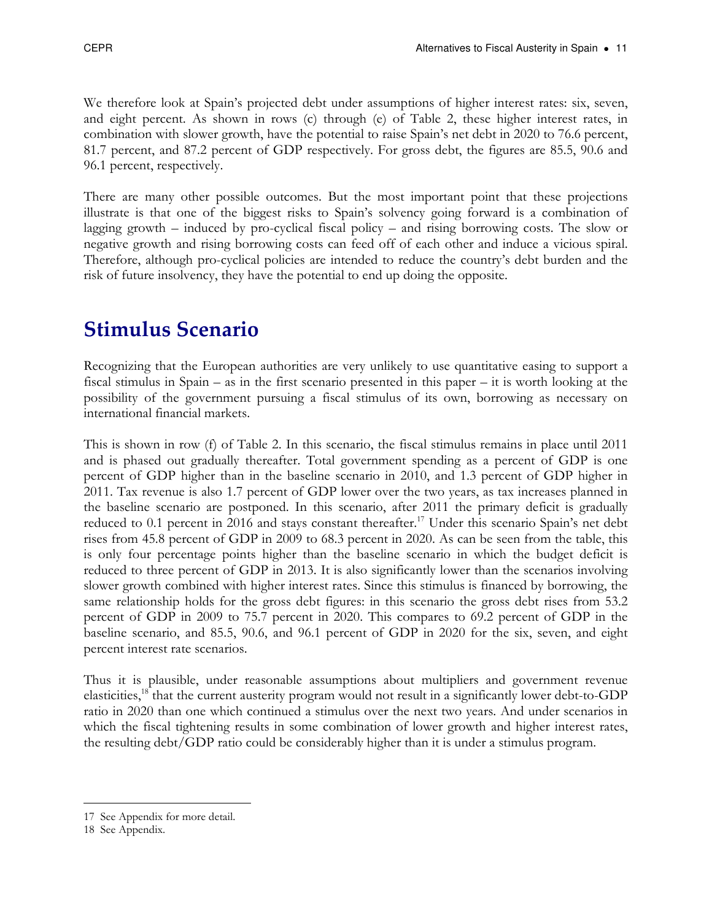We therefore look at Spain's projected debt under assumptions of higher interest rates: six, seven, and eight percent. As shown in rows (c) through (e) of Table 2, these higher interest rates, in combination with slower growth, have the potential to raise Spain's net debt in 2020 to 76.6 percent, 81.7 percent, and 87.2 percent of GDP respectively. For gross debt, the figures are 85.5, 90.6 and 96.1 percent, respectively.

There are many other possible outcomes. But the most important point that these projections illustrate is that one of the biggest risks to Spain's solvency going forward is a combination of lagging growth – induced by pro-cyclical fiscal policy – and rising borrowing costs. The slow or negative growth and rising borrowing costs can feed off of each other and induce a vicious spiral. Therefore, although pro-cyclical policies are intended to reduce the country's debt burden and the risk of future insolvency, they have the potential to end up doing the opposite.

# Stimulus Scenario

Recognizing that the European authorities are very unlikely to use quantitative easing to support a fiscal stimulus in Spain – as in the first scenario presented in this paper – it is worth looking at the possibility of the government pursuing a fiscal stimulus of its own, borrowing as necessary on international financial markets.

This is shown in row (f) of Table 2. In this scenario, the fiscal stimulus remains in place until 2011 and is phased out gradually thereafter. Total government spending as a percent of GDP is one percent of GDP higher than in the baseline scenario in 2010, and 1.3 percent of GDP higher in 2011. Tax revenue is also 1.7 percent of GDP lower over the two years, as tax increases planned in the baseline scenario are postponed. In this scenario, after 2011 the primary deficit is gradually reduced to 0.1 percent in 2016 and stays constant thereafter.<sup>17</sup> Under this scenario Spain's net debt rises from 45.8 percent of GDP in 2009 to 68.3 percent in 2020. As can be seen from the table, this is only four percentage points higher than the baseline scenario in which the budget deficit is reduced to three percent of GDP in 2013. It is also significantly lower than the scenarios involving slower growth combined with higher interest rates. Since this stimulus is financed by borrowing, the same relationship holds for the gross debt figures: in this scenario the gross debt rises from 53.2 percent of GDP in 2009 to 75.7 percent in 2020. This compares to 69.2 percent of GDP in the baseline scenario, and 85.5, 90.6, and 96.1 percent of GDP in 2020 for the six, seven, and eight percent interest rate scenarios.

Thus it is plausible, under reasonable assumptions about multipliers and government revenue elasticities,<sup>18</sup> that the current austerity program would not result in a significantly lower debt-to-GDP ratio in 2020 than one which continued a stimulus over the next two years. And under scenarios in which the fiscal tightening results in some combination of lower growth and higher interest rates, the resulting debt/GDP ratio could be considerably higher than it is under a stimulus program.

 $\overline{a}$ 

<sup>17</sup> See Appendix for more detail.

<sup>18</sup> See Appendix.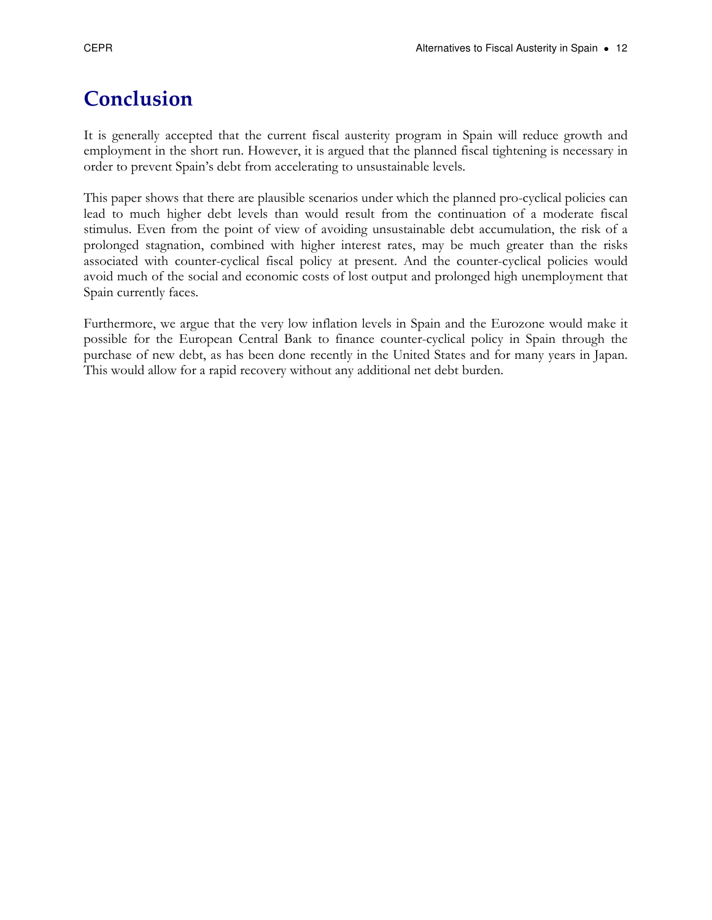# Conclusion

It is generally accepted that the current fiscal austerity program in Spain will reduce growth and employment in the short run. However, it is argued that the planned fiscal tightening is necessary in order to prevent Spain's debt from accelerating to unsustainable levels.

This paper shows that there are plausible scenarios under which the planned pro-cyclical policies can lead to much higher debt levels than would result from the continuation of a moderate fiscal stimulus. Even from the point of view of avoiding unsustainable debt accumulation, the risk of a prolonged stagnation, combined with higher interest rates, may be much greater than the risks associated with counter-cyclical fiscal policy at present. And the counter-cyclical policies would avoid much of the social and economic costs of lost output and prolonged high unemployment that Spain currently faces.

Furthermore, we argue that the very low inflation levels in Spain and the Eurozone would make it possible for the European Central Bank to finance counter-cyclical policy in Spain through the purchase of new debt, as has been done recently in the United States and for many years in Japan. This would allow for a rapid recovery without any additional net debt burden.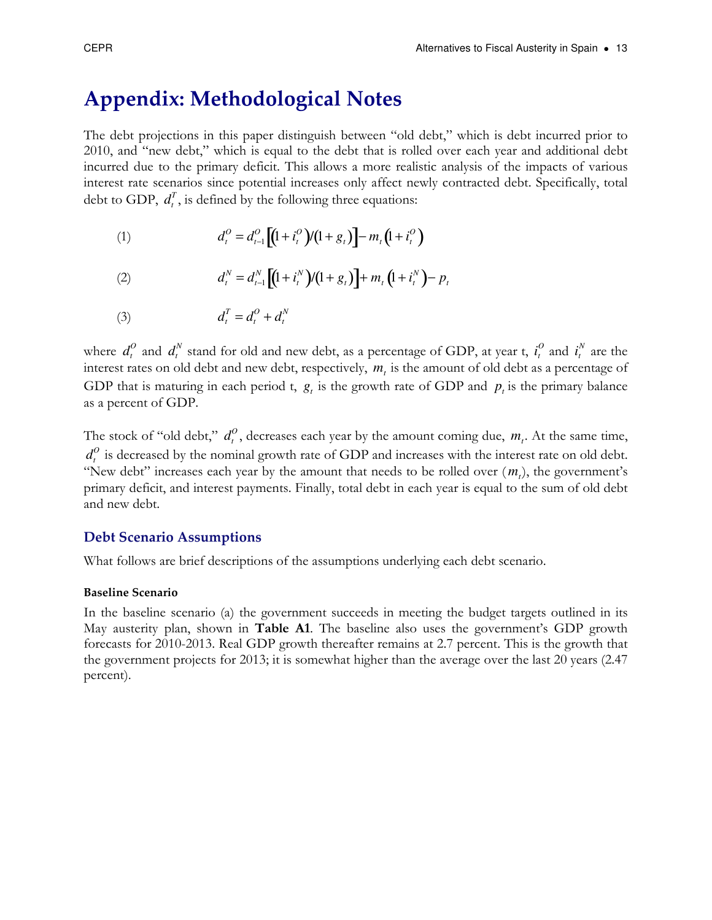# Appendix: Methodological Notes

The debt projections in this paper distinguish between "old debt," which is debt incurred prior to 2010, and "new debt," which is equal to the debt that is rolled over each year and additional debt incurred due to the primary deficit. This allows a more realistic analysis of the impacts of various interest rate scenarios since potential increases only affect newly contracted debt. Specifically, total debt to GDP,  $d_t^T$ , is defined by the following three equations:

(1) 
$$
d_t^0 = d_{t-1}^0 \left[ (1 + i_t^0) / (1 + g_t) \right] - m_t \left( 1 + i_t^0 \right)
$$

(2) 
$$
d_t^N = d_{t-1}^N \left[ (1 + i_t^N) / (1 + g_t) \right] + m_t \left( 1 + i_t^N \right) - p_t
$$

(3)  $d_t^i$  $T_{t} = d_{t}^{O} + d_{t}^{N}$ 

where  $d_t^O$  and  $d_t^N$  stand for old and new debt, as a percentage of GDP, at year t,  $i_t^O$  $\int_t^0$  and  $i_t^j$ *N* are the interest rates on old debt and new debt, respectively, *m<sup>t</sup>* is the amount of old debt as a percentage of GDP that is maturing in each period t,  $g_t$  is the growth rate of GDP and  $p_t$  is the primary balance as a percent of GDP.

The stock of "old debt,"  $d_t^0$ , decreases each year by the amount coming due,  $m_t$ . At the same time,  $d_t^0$  is decreased by the nominal growth rate of GDP and increases with the interest rate on old debt. "New debt" increases each year by the amount that needs to be rolled over  $(m_t)$ , the government's primary deficit, and interest payments. Finally, total debt in each year is equal to the sum of old debt and new debt.

#### Debt Scenario Assumptions

What follows are brief descriptions of the assumptions underlying each debt scenario.

#### Baseline Scenario

In the baseline scenario (a) the government succeeds in meeting the budget targets outlined in its May austerity plan, shown in **Table A1**. The baseline also uses the government's GDP growth forecasts for 2010-2013. Real GDP growth thereafter remains at 2.7 percent. This is the growth that the government projects for 2013; it is somewhat higher than the average over the last 20 years (2.47 percent).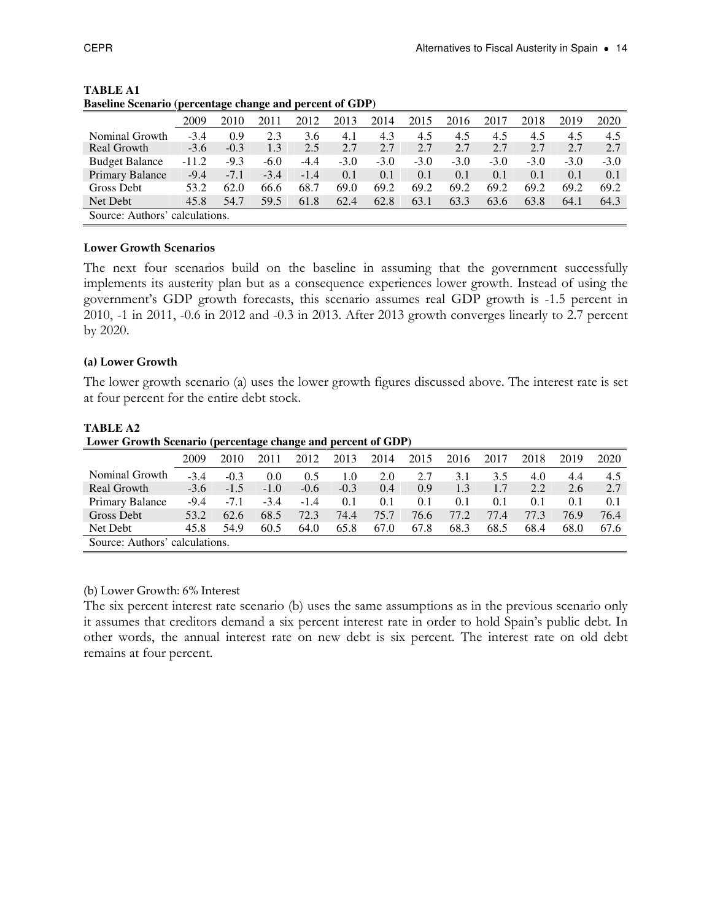|                        | 2009          | 2010   | 2011   | 2012   | 2013   | 2014   | 2015   | 2016   | 2017   | 2018   | 2019   | 2020   |
|------------------------|---------------|--------|--------|--------|--------|--------|--------|--------|--------|--------|--------|--------|
| Nominal Growth         | $-3.4$        | 0.9    | 2.3    | 3.6    | 4.1    | 4.3    | 4.5    | 4.5    | 4.5    | 4.5    | 4.5    | 4.5    |
| Real Growth            | $-3.6$        | $-0.3$ | 1.3    | 2.5    | 2.7    | 2.7    | 2.7    | 2.7    | 2.7    | 2.7    | 2.7    | 2.7    |
| <b>Budget Balance</b>  | $-11.2$       | $-9.3$ | $-6.0$ | $-4.4$ | $-3.0$ | $-3.0$ | $-3.0$ | $-3.0$ | $-3.0$ | $-3.0$ | $-3.0$ | $-3.0$ |
| <b>Primary Balance</b> | $-9.4$        | $-7.1$ | $-3.4$ | $-1.4$ | 0.1    | 0.1    | 0.1    | 0.1    | 0.1    | 0.1    | 0.1    | 0.1    |
| Gross Debt             | 53.2          | 62.0   | 66.6   | 68.7   | 69.0   | 69.2   | 69.2   | 69.2   | 69.2   | 69.2   | 69.2   | 69.2   |
| Net Debt               | 45.8          | 54.7   | 59.5   | 61.8   | 62.4   | 62.8   | 63.1   | 63.3   | 63.6   | 63.8   | 64.1   | 64.3   |
| Source: Authors'       | calculations. |        |        |        |        |        |        |        |        |        |        |        |

**TABLE A1 Baseline Scenario (percentage change and percent of GDP)** 

#### Lower Growth Scenarios

The next four scenarios build on the baseline in assuming that the government successfully implements its austerity plan but as a consequence experiences lower growth. Instead of using the government's GDP growth forecasts, this scenario assumes real GDP growth is -1.5 percent in 2010, -1 in 2011, -0.6 in 2012 and -0.3 in 2013. After 2013 growth converges linearly to 2.7 percent by 2020.

#### (a) Lower Growth

The lower growth scenario (a) uses the lower growth figures discussed above. The interest rate is set at four percent for the entire debt stock.

| Lower Growth Scenario (percentage change and percent of GDP) |               |        |        |        |        |      |      |      |      |      |      |      |
|--------------------------------------------------------------|---------------|--------|--------|--------|--------|------|------|------|------|------|------|------|
|                                                              | 2009          | 2010   | 2011   | 2012   | 2013   | 2014 | 2015 | 2016 | 2017 | 2018 | 2019 | 2020 |
| Nominal Growth                                               | $-3.4$        | $-0.3$ | 0.0    | 0.5    | 1.0    | 2.0  | 2.7  | 3.1  | 3.5  | 4.0  | 4.4  | 4.5  |
| Real Growth                                                  | $-3.6$        | $-1.5$ | $-1.0$ | $-0.6$ | $-0.3$ | 0.4  | 0.9  | 1.3  | 1.7  | 2.2  | 2.6  | 2.7  |
| Primary Balance                                              | $-9.4$        | $-7.1$ | $-3.4$ | $-1.4$ | 0.1    | 0.1  | 0.1  | 0.1  | 0.1  | 0.1  | 0.1  | 0.1  |
| Gross Debt                                                   | 53.2          | 62.6   | 68.5   | 72.3   | 74.4   | 75.7 | 76.6 | 77.2 | 77.4 | 77.3 | 76.9 | 76.4 |
| Net Debt                                                     | 45.8          | 54.9   | 60.5   | 64.0   | 65.8   | 67.0 | 67.8 | 68.3 | 68.5 | 68.4 | 68.0 | 67.6 |
| Source: Authors'                                             | calculations. |        |        |        |        |      |      |      |      |      |      |      |

#### **TABLE A2**

#### (b) Lower Growth: 6% Interest

The six percent interest rate scenario (b) uses the same assumptions as in the previous scenario only it assumes that creditors demand a six percent interest rate in order to hold Spain's public debt. In other words, the annual interest rate on new debt is six percent. The interest rate on old debt remains at four percent.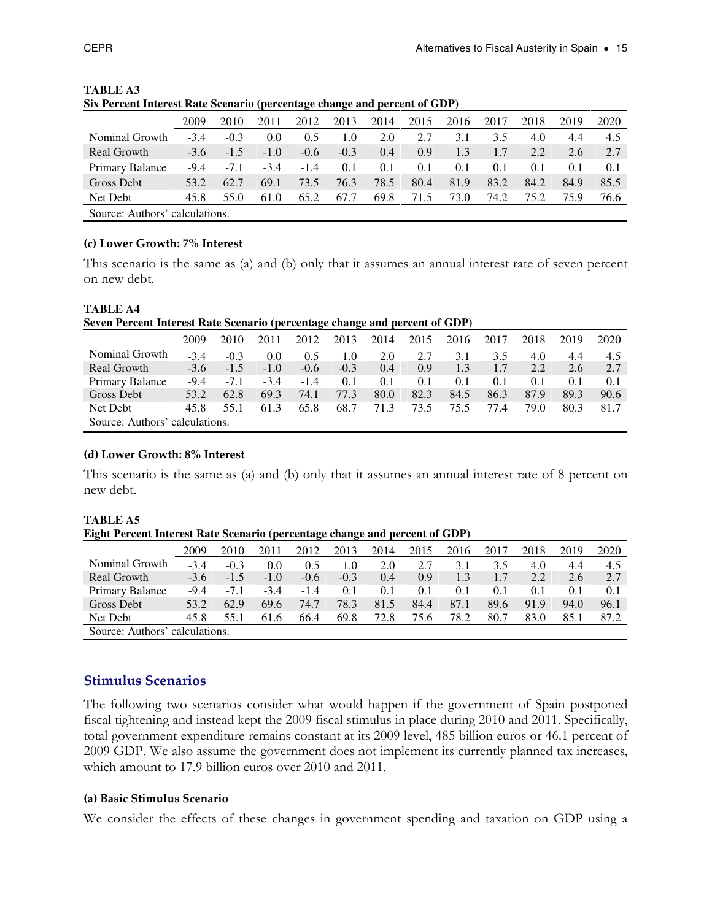|                                | 2009   | 2010   | 2011   | 2012   | 2013   | 2014 | 2015 | 2016 | 2017 | 2018 | 2019 | 2020 |
|--------------------------------|--------|--------|--------|--------|--------|------|------|------|------|------|------|------|
| Nominal Growth                 | $-3.4$ | $-0.3$ | 0.0    | 0.5    | 1.0    | 2.0  | 2.7  | 3.1  | 3.5  | 4.0  | 4.4  | 4.5  |
| Real Growth                    | $-3.6$ | $-1.5$ | $-1.0$ | $-0.6$ | $-0.3$ | 0.4  | 0.9  | 1.3  | 1.7  | 2.2  | 2.6  | 2.7  |
| Primary Balance                | $-9.4$ | $-7.1$ | $-3.4$ | $-1.4$ | 0.1    | 0.1  | 0.1  | 0.1  | 0.1  | 0.1  | 0.1  | 0.1  |
| Gross Debt                     | 53.2   | 62.7   | 69.1   | 73.5   | 76.3   | 78.5 | 80.4 | 81.9 | 83.2 | 84.2 | 84.9 | 85.5 |
| Net Debt                       | 45.8   | 55.0   | 61.0   | 65.2   | 67.7   | 69.8 | 71.5 | 73.0 | 74.2 | 75.2 | 75.9 | 76.6 |
| Source: Authors' calculations. |        |        |        |        |        |      |      |      |      |      |      |      |

**TABLE A3 Six Percent Interest Rate Scenario (percentage change and percent of GDP)** 

#### (c) Lower Growth: 7% Interest

**TABLE A4** 

This scenario is the same as (a) and (b) only that it assumes an annual interest rate of seven percent on new debt.

| Seven Percent Interest Rate Scenario (percentage change and percent of GDP) |        |        |        |        |        |      |      |      |      |      |      |      |
|-----------------------------------------------------------------------------|--------|--------|--------|--------|--------|------|------|------|------|------|------|------|
|                                                                             | 2009   | 2010   | 2011   | 2012   | 2013   | 2014 | 2015 | 2016 | 2017 | 2018 | 2019 | 2020 |
| Nominal Growth                                                              | $-3.4$ | $-0.3$ | 0.0    | 0.5    | 1.0    | 2.0  | 2.7  | 3.1  | 3.5  | 4.0  | 4.4  | 4.5  |
| Real Growth                                                                 | $-3.6$ | $-1.5$ | $-1.0$ | $-0.6$ | $-0.3$ | 0.4  | 0.9  | 1.3  | 1.7  | 2.2  | 2.6  | 2.7  |
| Primary Balance                                                             | $-9.4$ | $-7.1$ | $-3.4$ | $-1.4$ | 0.1    | 0.1  | 0.1  | 0.1  | 0.1  | 0.1  | 0.1  | 0.1  |
| Gross Debt                                                                  | 53.2   | 62.8   | 69.3   | 74.1   | 77.3   | 80.0 | 82.3 | 84.5 | 86.3 | 87.9 | 89.3 | 90.6 |
| Net Debt                                                                    | 45.8   | 55.1   | 61.3   | 65.8   | 68.7   | 71.3 | 73.5 | 75.5 | 77.4 | 79.0 | 80.3 | 81.7 |
| Source: Authors' calculations.                                              |        |        |        |        |        |      |      |      |      |      |      |      |

#### (d) Lower Growth: 8% Interest

This scenario is the same as (a) and (b) only that it assumes an annual interest rate of 8 percent on new debt.

| <b>TABLE A5</b>                                                             |  |
|-----------------------------------------------------------------------------|--|
| Eight Percent Interest Rate Scenario (percentage change and percent of GDP) |  |

|                  | 2009          | 2010   |        | 2012   | 2013   | 2014 | 2015 | 2016 | 2017 | 2018 | 2019 | 2020 |
|------------------|---------------|--------|--------|--------|--------|------|------|------|------|------|------|------|
| Nominal Growth   | $-3.4$        | $-0.3$ | 0.0    | 0.5    | 1.0    | 2.0  |      | 3.1  | 3.5  | 4.0  | 4.4  | 4.5  |
| Real Growth      | $-3.6$        | $-1.5$ | $-1.0$ | $-0.6$ | $-0.3$ | 0.4  | 0.9  | 1.3  | 1.7  | 2.2  | 2.6  | 2.7  |
| Primary Balance  | $-9.4$        | $-7.1$ | $-3.4$ | $-1.4$ | 0.1    | 0.1  | 0.1  | 0.1  | 0.1  | 0.1  | 0.1  | 0.1  |
| Gross Debt       | 53.2          | 62.9   | 69.6   | 74.7   | 78.3   | 81.5 | 84.4 | 87.1 | 89.6 | 91.9 | 94.0 | 96.1 |
| Net Debt         | 45.8          | 55.1   | 61.6   | 66.4   | 69.8   | 72.8 | 75.6 | 78.2 | 80.7 | 83.0 | 85.1 | 87.2 |
| Source: Authors' | calculations. |        |        |        |        |      |      |      |      |      |      |      |

#### Stimulus Scenarios

The following two scenarios consider what would happen if the government of Spain postponed fiscal tightening and instead kept the 2009 fiscal stimulus in place during 2010 and 2011. Specifically, total government expenditure remains constant at its 2009 level, 485 billion euros or 46.1 percent of 2009 GDP. We also assume the government does not implement its currently planned tax increases, which amount to 17.9 billion euros over 2010 and 2011.

#### (a) Basic Stimulus Scenario

We consider the effects of these changes in government spending and taxation on GDP using a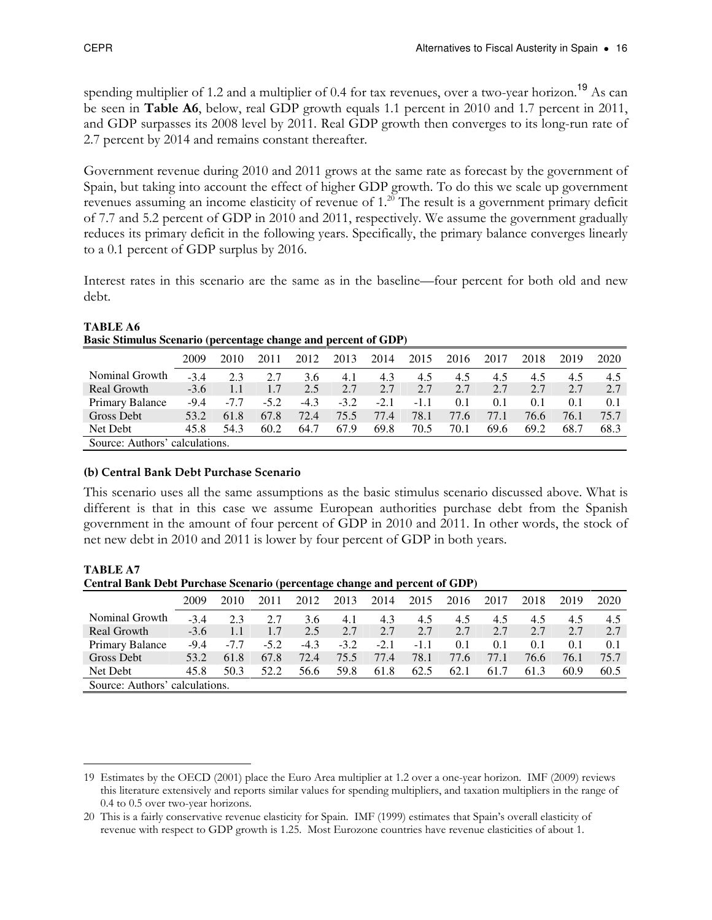spending multiplier of 1.2 and a multiplier of 0.4 for tax revenues, over a two-year horizon.<sup>19</sup> As can be seen in Table A6, below, real GDP growth equals 1.1 percent in 2010 and 1.7 percent in 2011, and GDP surpasses its 2008 level by 2011. Real GDP growth then converges to its long-run rate of 2.7 percent by 2014 and remains constant thereafter.

Government revenue during 2010 and 2011 grows at the same rate as forecast by the government of Spain, but taking into account the effect of higher GDP growth. To do this we scale up government revenues assuming an income elasticity of revenue of 1.<sup>20</sup> The result is a government primary deficit of 7.7 and 5.2 percent of GDP in 2010 and 2011, respectively. We assume the government gradually reduces its primary deficit in the following years. Specifically, the primary balance converges linearly to a 0.1 percent of GDP surplus by 2016.

Interest rates in this scenario are the same as in the baseline—four percent for both old and new debt.

| <b>Basic Stimulus Scenario (percentage change and percent of GDP)</b> |               |        |        |        |        |        |        |      |      |      |      |      |  |
|-----------------------------------------------------------------------|---------------|--------|--------|--------|--------|--------|--------|------|------|------|------|------|--|
|                                                                       | 2009          | 2010   | 2011   | 2012   | 2013   | 2014   | 2015   | 2016 | 2017 | 2018 | 2019 | 2020 |  |
| Nominal Growth                                                        | $-3.4$        | 2.3    | 2.7    | 3.6    | 4.1    | 4.3    | 4.5    | 4.5  | 4.5  | 4.5  | 4.5  | 4.5  |  |
| Real Growth                                                           | $-3.6$        | 1.1    | 1.7    | 2.5    | 2.7    | 2.7    | 2.7    | 2.7  | 2.7  | 2.7  | 2.7  | 2.7  |  |
| Primary Balance                                                       | $-9.4$        | $-7.7$ | $-5.2$ | $-4.3$ | $-3.2$ | $-2.1$ | $-1.1$ | 0.1  | 0.1  | 0.1  | 0.1  | 0.1  |  |
| Gross Debt                                                            | 53.2          | 61.8   | 67.8   | 72.4   | 75.5   | 77.4   | 78.1   | 77.6 | 77.1 | 76.6 | 76.1 | 75.7 |  |
| Net Debt                                                              | 45.8          | 54.3   | 60.2   | 64.7   | 67.9   | 69.8   | 70.5   | 70.1 | 69.6 | 69.2 | 68.7 | 68.3 |  |
| Source: Authors'                                                      | calculations. |        |        |        |        |        |        |      |      |      |      |      |  |

#### **TABLE A6 Basic Stimulus Scenario (percentage change and percent of GDP)**

#### (b) Central Bank Debt Purchase Scenario

This scenario uses all the same assumptions as the basic stimulus scenario discussed above. What is different is that in this case we assume European authorities purchase debt from the Spanish government in the amount of four percent of GDP in 2010 and 2011. In other words, the stock of net new debt in 2010 and 2011 is lower by four percent of GDP in both years.

#### **TABLE A7**

**Central Bank Debt Purchase Scenario (percentage change and percent of GDP)** 

|                  |               |        |        | -      | o      |        |        |      |      |      |      |      |
|------------------|---------------|--------|--------|--------|--------|--------|--------|------|------|------|------|------|
|                  | 2009          | 2010   |        | 2012   | 2013   | 2014   | 2015   | 2016 | 2017 | 2018 | 2019 | 2020 |
| Nominal Growth   | $-3.4$        | 2.3    | 2.7    | 3.6    | 4.1    | 4.3    | 4.5    | 4.5  | 4.5  | 4.5  | 4.5  | 4.5  |
| Real Growth      | $-3.6$        | 1.1    | 1.7    | 2.5    | 2.7    | 2.7    | 2.7    | 2.7  | 2.7  | 2.7  | 2.7  | 2.7  |
| Primary Balance  | $-9.4$        | $-7.7$ | $-5.2$ | $-4.3$ | $-3.2$ | $-2.1$ | $-1.1$ | 0.1  | 0.1  | 0.1  | 0.1  | 0.1  |
| Gross Debt       | 53.2          | 61.8   | 67.8   | 72.4   | 75.5   | 77.4   | 78.1   | 77.6 | 77.1 | 76.6 | 76.1 | 75.7 |
| Net Debt         | 45.8          | 50.3   | 52.2   | 56.6   | 59.8   | 61.8   | 62.5   | 62.1 | 61.7 | 61.3 | 60.9 | 60.5 |
| Source: Authors' | calculations. |        |        |        |        |        |        |      |      |      |      |      |

 $\overline{a}$ 19 Estimates by the OECD (2001) place the Euro Area multiplier at 1.2 over a one-year horizon. IMF (2009) reviews this literature extensively and reports similar values for spending multipliers, and taxation multipliers in the range of 0.4 to 0.5 over two-year horizons.

<sup>20</sup> This is a fairly conservative revenue elasticity for Spain. IMF (1999) estimates that Spain's overall elasticity of revenue with respect to GDP growth is 1.25. Most Eurozone countries have revenue elasticities of about 1.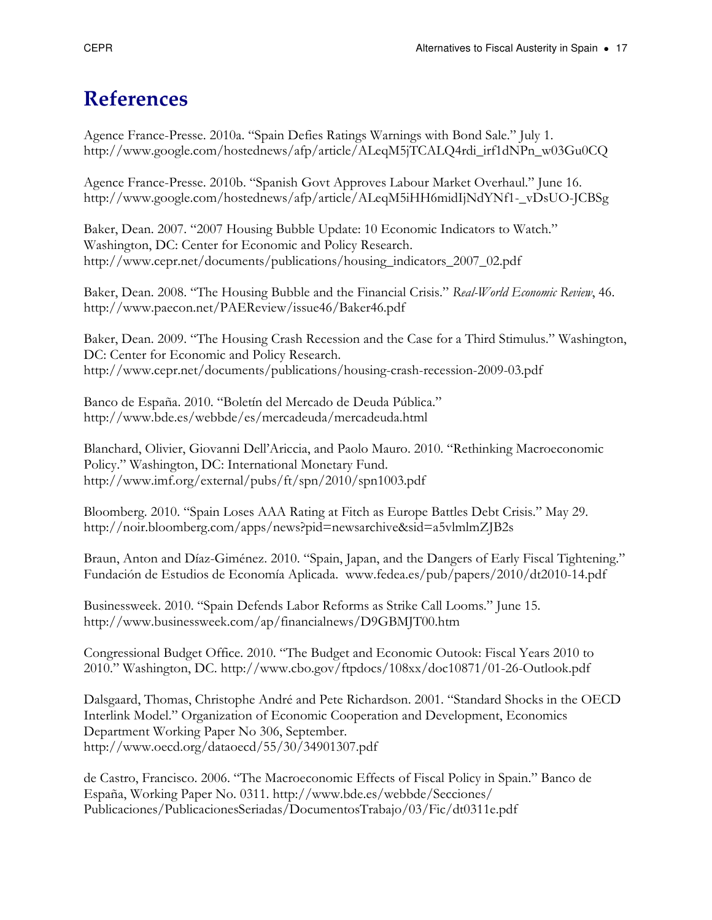## References

Agence France-Presse. 2010a. "Spain Defies Ratings Warnings with Bond Sale." July 1. http://www.google.com/hostednews/afp/article/ALeqM5jTCALQ4rdi\_irf1dNPn\_w03Gu0CQ

Agence France-Presse. 2010b. "Spanish Govt Approves Labour Market Overhaul." June 16. http://www.google.com/hostednews/afp/article/ALeqM5iHH6midIjNdYNf1-\_vDsUO-JCBSg

Baker, Dean. 2007. "2007 Housing Bubble Update: 10 Economic Indicators to Watch." Washington, DC: Center for Economic and Policy Research. http://www.cepr.net/documents/publications/housing\_indicators\_2007\_02.pdf

Baker, Dean. 2008. "The Housing Bubble and the Financial Crisis." Real-World Economic Review, 46. http://www.paecon.net/PAEReview/issue46/Baker46.pdf

Baker, Dean. 2009. "The Housing Crash Recession and the Case for a Third Stimulus." Washington, DC: Center for Economic and Policy Research. http://www.cepr.net/documents/publications/housing-crash-recession-2009-03.pdf

Banco de España. 2010. "Boletín del Mercado de Deuda Pública." http://www.bde.es/webbde/es/mercadeuda/mercadeuda.html

Blanchard, Olivier, Giovanni Dell'Ariccia, and Paolo Mauro. 2010. "Rethinking Macroeconomic Policy." Washington, DC: International Monetary Fund. http://www.imf.org/external/pubs/ft/spn/2010/spn1003.pdf

Bloomberg. 2010. "Spain Loses AAA Rating at Fitch as Europe Battles Debt Crisis." May 29. http://noir.bloomberg.com/apps/news?pid=newsarchive&sid=a5vlmlmZJB2s

Braun, Anton and Díaz-Giménez. 2010. "Spain, Japan, and the Dangers of Early Fiscal Tightening." Fundación de Estudios de Economía Aplicada. www.fedea.es/pub/papers/2010/dt2010-14.pdf

Businessweek. 2010. "Spain Defends Labor Reforms as Strike Call Looms." June 15. http://www.businessweek.com/ap/financialnews/D9GBMJT00.htm

Congressional Budget Office. 2010. "The Budget and Economic Outook: Fiscal Years 2010 to 2010." Washington, DC. http://www.cbo.gov/ftpdocs/108xx/doc10871/01-26-Outlook.pdf

Dalsgaard, Thomas, Christophe André and Pete Richardson. 2001. "Standard Shocks in the OECD Interlink Model." Organization of Economic Cooperation and Development, Economics Department Working Paper No 306, September. http://www.oecd.org/dataoecd/55/30/34901307.pdf

de Castro, Francisco. 2006. "The Macroeconomic Effects of Fiscal Policy in Spain." Banco de España, Working Paper No. 0311. http://www.bde.es/webbde/Secciones/ Publicaciones/PublicacionesSeriadas/DocumentosTrabajo/03/Fic/dt0311e.pdf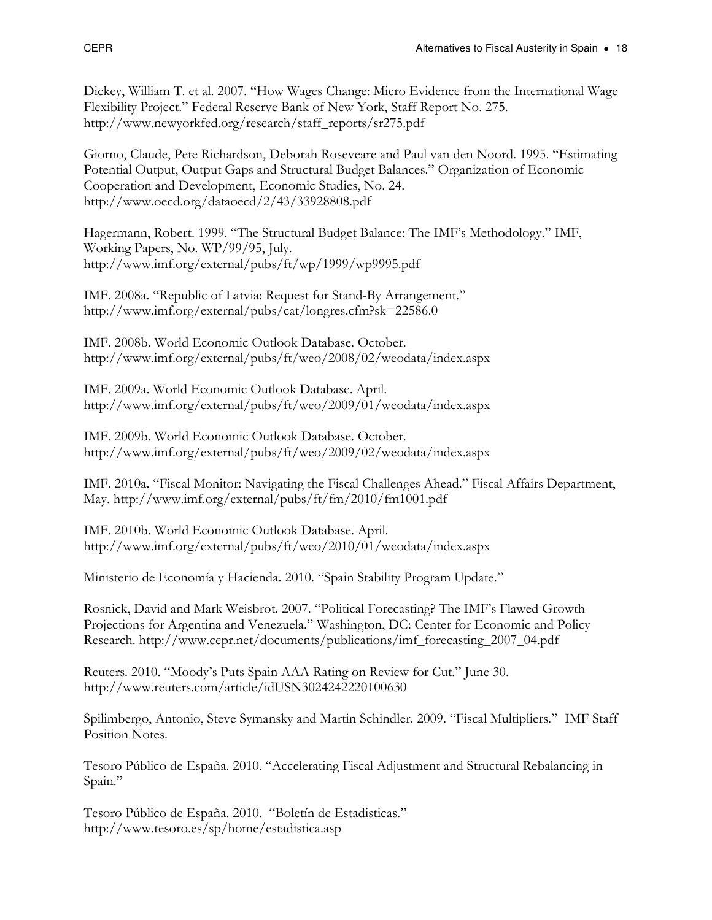Dickey, William T. et al. 2007. "How Wages Change: Micro Evidence from the International Wage Flexibility Project." Federal Reserve Bank of New York, Staff Report No. 275. http://www.newyorkfed.org/research/staff\_reports/sr275.pdf

Giorno, Claude, Pete Richardson, Deborah Roseveare and Paul van den Noord. 1995. "Estimating Potential Output, Output Gaps and Structural Budget Balances." Organization of Economic Cooperation and Development, Economic Studies, No. 24. http://www.oecd.org/dataoecd/2/43/33928808.pdf

Hagermann, Robert. 1999. "The Structural Budget Balance: The IMF's Methodology." IMF, Working Papers, No. WP/99/95, July. http://www.imf.org/external/pubs/ft/wp/1999/wp9995.pdf

IMF. 2008a. "Republic of Latvia: Request for Stand-By Arrangement." http://www.imf.org/external/pubs/cat/longres.cfm?sk=22586.0

IMF. 2008b. World Economic Outlook Database. October. http://www.imf.org/external/pubs/ft/weo/2008/02/weodata/index.aspx

IMF. 2009a. World Economic Outlook Database. April. http://www.imf.org/external/pubs/ft/weo/2009/01/weodata/index.aspx

IMF. 2009b. World Economic Outlook Database. October. http://www.imf.org/external/pubs/ft/weo/2009/02/weodata/index.aspx

IMF. 2010a. "Fiscal Monitor: Navigating the Fiscal Challenges Ahead." Fiscal Affairs Department, May. http://www.imf.org/external/pubs/ft/fm/2010/fm1001.pdf

IMF. 2010b. World Economic Outlook Database. April. http://www.imf.org/external/pubs/ft/weo/2010/01/weodata/index.aspx

Ministerio de Economía y Hacienda. 2010. "Spain Stability Program Update."

Rosnick, David and Mark Weisbrot. 2007. "Political Forecasting? The IMF's Flawed Growth Projections for Argentina and Venezuela." Washington, DC: Center for Economic and Policy Research. http://www.cepr.net/documents/publications/imf\_forecasting\_2007\_04.pdf

Reuters. 2010. "Moody's Puts Spain AAA Rating on Review for Cut." June 30. http://www.reuters.com/article/idUSN3024242220100630

Spilimbergo, Antonio, Steve Symansky and Martin Schindler. 2009. "Fiscal Multipliers." IMF Staff Position Notes.

Tesoro Público de España. 2010. "Accelerating Fiscal Adjustment and Structural Rebalancing in Spain."

Tesoro Público de España. 2010. "Boletín de Estadisticas." http://www.tesoro.es/sp/home/estadistica.asp